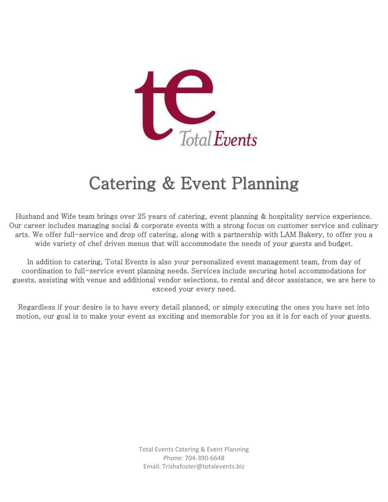

# Catering & Event Planning

Husband and Wife team brings over 25 years of catering, event planning & hospitality service experience. Our career includes managing social & corporate events with a strong focus on customer service and culinary arts. We offer full-service and drop off catering, along with a partnership with LAM Bakery, to offer you a wide variety of chef driven menus that will accommodate the needs of your guests and budget.

In addition to catering, Total Events is also your personalized event management team, from day of coordination to full-service event planning needs. Services include securing hotel accommodations for guests, assisting with venue and additional vendor selections, to rental and décor assistance, we are here to exceed your every need.

Regardless if your desire is to have every detail planned, or simply executing the ones you have set into motion, our goal is to make your event as exciting and memorable for you as it is for each of your guests.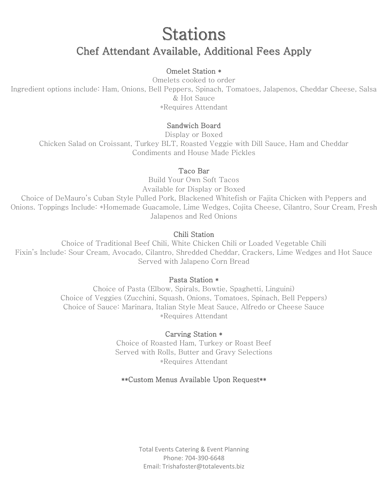# Stations Chef Attendant Available, Additional Fees Apply

#### Omelet Station \*

Omelets cooked to order Ingredient options include: Ham, Onions, Bell Peppers, Spinach, Tomatoes, Jalapenos, Cheddar Cheese, Salsa & Hot Sauce \*Requires Attendant

#### Sandwich Board

Display or Boxed Chicken Salad on Croissant, Turkey BLT, Roasted Veggie with Dill Sauce, Ham and Cheddar Condiments and House Made Pickles

#### Taco Bar

Build Your Own Soft Tacos Available for Display or Boxed Choice of DeMauro's Cuban Style Pulled Pork, Blackened Whitefish or Fajita Chicken with Peppers and Onions. Toppings Include: \*Homemade Guacamole, Lime Wedges, Cojita Cheese, Cilantro, Sour Cream, Fresh Jalapenos and Red Onions

#### Chili Station

Choice of Traditional Beef Chili, White Chicken Chili or Loaded Vegetable Chili Fixin's Include: Sour Cream, Avocado, Cilantro, Shredded Cheddar, Crackers, Lime Wedges and Hot Sauce Served with Jalapeno Corn Bread

#### Pasta Station \*

Choice of Pasta (Elbow, Spirals, Bowtie, Spaghetti, Linguini) Choice of Veggies (Zucchini, Squash, Onions, Tomatoes, Spinach, Bell Peppers) Choice of Sauce: Marinara, Italian Style Meat Sauce, Alfredo or Cheese Sauce \*Requires Attendant

#### Carving Station \*

Choice of Roasted Ham, Turkey or Roast Beef Served with Rolls, Butter and Gravy Selections \*Requires Attendant

# \*\*Custom Menus Available Upon Request\*\*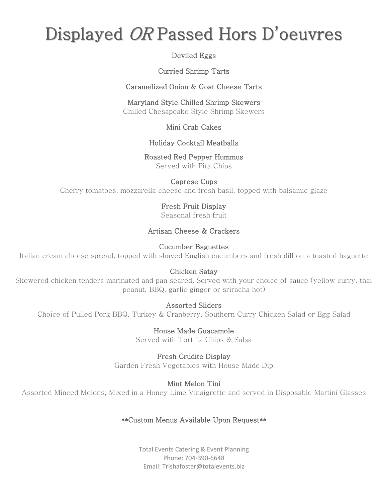# Displayed OR Passed Hors D' oeuvres

# Deviled Eggs

# Curried Shrimp Tarts

Caramelized Onion & Goat Cheese Tarts

# Maryland Style Chilled Shrimp Skewers

Chilled Chesapeake Style Shrimp Skewers

# Mini Crab Cakes

# Holiday Cocktail Meatballs

### Roasted Red Pepper Hummus

Served with Pita Chips

# Caprese Cups

Cherry tomatoes, mozzarella cheese and fresh basil, topped with balsamic glaze

# Fresh Fruit Display

Seasonal fresh fruit

# Artisan Cheese & Crackers

### Cucumber Baguettes

Italian cream cheese spread, topped with shaved English cucumbers and fresh dill on a toasted baguette

# Chicken Satay

Skewered chicken tenders marinated and pan seared. Served with your choice of sauce (yellow curry, thai peanut, BBQ, garlic ginger or sriracha hot)

# Assorted Sliders

Choice of Pulled Pork BBQ, Turkey & Cranberry, Southern Curry Chicken Salad or Egg Salad

House Made Guacamole Served with Tortilla Chips & Salsa

Fresh Crudite Display Garden Fresh Vegetables with House Made Dip

# Mint Melon Tini

Assorted Minced Melons, Mixed in a Honey Lime Vinaigrette and served in Disposable Martini Glasses

# \*\*Custom Menus Available Upon Request\*\*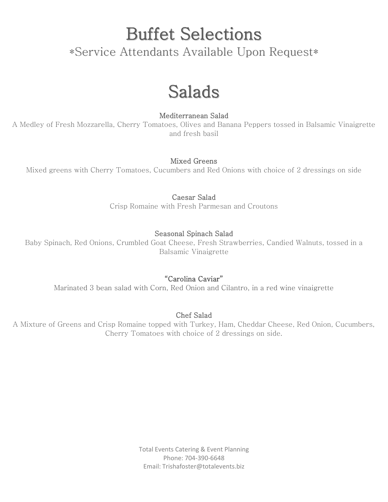Buffet Selections

\*Service Attendants Available Upon Request\*

# Salads

### Mediterranean Salad

A Medley of Fresh Mozzarella, Cherry Tomatoes, Olives and Banana Peppers tossed in Balsamic Vinaigrette and fresh basil

### Mixed Greens

Mixed greens with Cherry Tomatoes, Cucumbers and Red Onions with choice of 2 dressings on side

Caesar Salad

Crisp Romaine with Fresh Parmesan and Croutons

### Seasonal Spinach Salad

Baby Spinach, Red Onions, Crumbled Goat Cheese, Fresh Strawberries, Candied Walnuts, tossed in a Balsamic Vinaigrette

# "Carolina Caviar"

Marinated 3 bean salad with Corn, Red Onion and Cilantro, in a red wine vinaigrette

# Chef Salad

A Mixture of Greens and Crisp Romaine topped with Turkey, Ham, Cheddar Cheese, Red Onion, Cucumbers, Cherry Tomatoes with choice of 2 dressings on side.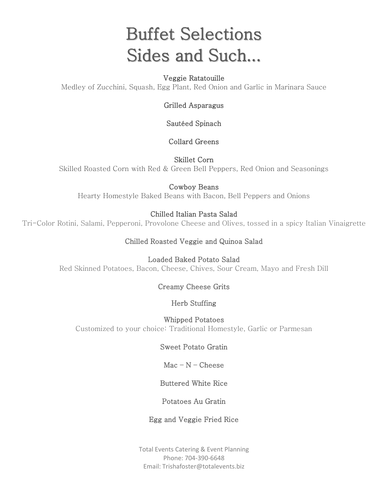# Buffet Selections Sides and Such...

### Veggie Ratatouille

Medley of Zucchini, Squash, Egg Plant, Red Onion and Garlic in Marinara Sauce

Grilled Asparagus

Sautéed Spinach

Collard Greens

Skillet Corn Skilled Roasted Corn with Red & Green Bell Peppers, Red Onion and Seasonings

Cowboy Beans Hearty Homestyle Baked Beans with Bacon, Bell Peppers and Onions

# Chilled Italian Pasta Salad

Tri-Color Rotini, Salami, Pepperoni, Provolone Cheese and Olives, tossed in a spicy Italian Vinaigrette

# Chilled Roasted Veggie and Quinoa Salad

Loaded Baked Potato Salad Red Skinned Potatoes, Bacon, Cheese, Chives, Sour Cream, Mayo and Fresh Dill

# Creamy Cheese Grits

# Herb Stuffing

Whipped Potatoes Customized to your choice: Traditional Homestyle, Garlic or Parmesan

#### Sweet Potato Gratin

# $Mac - N -$

# Buttered White Rice

#### Potatoes Au Gratin

#### Egg and Veggie Fried Rice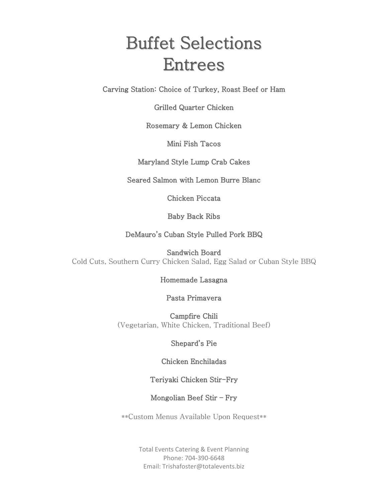# Buffet Selections Entrees

Carving Station: Choice of Turkey, Roast Beef or Ham

Grilled Quarter Chicken

Rosemary & Lemon Chicken

Mini Fish Tacos

Maryland Style Lump Crab Cakes

Seared Salmon with Lemon Burre Blanc

Chicken Piccata

Baby Back Ribs

DeMauro's Cuban Style Pulled Pork BBQ

Sandwich Board Cold Cuts, Southern Curry Chicken Salad, Egg Salad or Cuban Style BBQ

#### Homemade Lasagna

#### Pasta Primavera

Campfire Chili (Vegetarian, White Chicken, Traditional Beef)

# Shepard's Pie

#### Chicken Enchiladas

# Teriyaki Chicken Stir-Fry

# Mongolian Beef Stir – Fry

\*\*Custom Menus Available Upon Request\*\*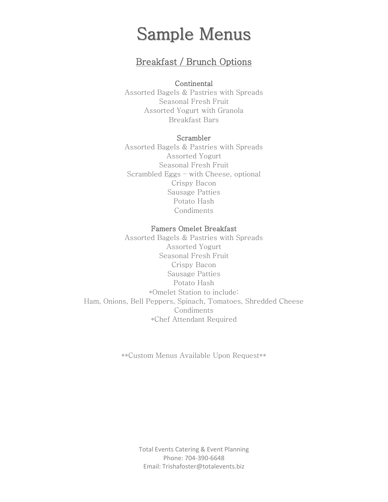# Sample Menus

# Breakfast / Brunch Options

#### **Continental**

Assorted Bagels & Pastries with Spreads Seasonal Fresh Fruit Assorted Yogurt with Granola Breakfast Bars

#### Scrambler

Assorted Bagels & Pastries with Spreads Assorted Yogurt Seasonal Fresh Fruit Scrambled Eggs – with Cheese, optional Crispy Bacon Sausage Patties Potato Hash Condiments

#### Famers Omelet Breakfast

Assorted Bagels & Pastries with Spreads Assorted Yogurt Seasonal Fresh Fruit Crispy Bacon Sausage Patties Potato Hash \*Omelet Station to include: Ham, Onions, Bell Peppers, Spinach, Tomatoes, Shredded Cheese Condiments \*Chef Attendant Required

\*\*Custom Menus Available Upon Request\*\*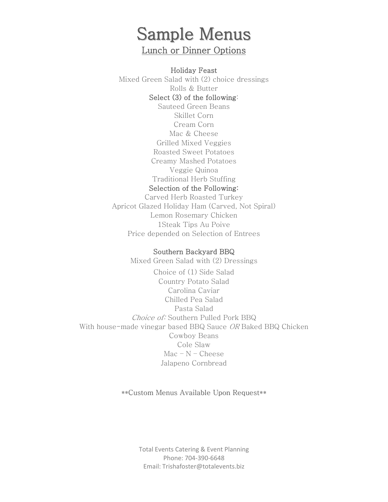# Sample Menus Lunch or Dinner Options

Holiday Feast Mixed Green Salad with (2) choice dressings Rolls & Butter Select (3) of the following: Sauteed Green Beans Skillet Corn Cream Corn Mac & Cheese Grilled Mixed Veggies Roasted Sweet Potatoes Creamy Mashed Potatoes Veggie Quinoa Traditional Herb Stuffing Selection of the Following:

Carved Herb Roasted Turkey Apricot Glazed Holiday Ham (Carved, Not Spiral) Lemon Rosemary Chicken 1Steak Tips Au Poive Price depended on Selection of Entrees

#### Southern Backyard BBQ

Mixed Green Salad with (2) Dressings Choice of (1) Side Salad Country Potato Salad Carolina Caviar Chilled Pea Salad Pasta Salad Choice of: Southern Pulled Pork BBQ With house-made vinegar based BBQ Sauce OR Baked BBQ Chicken Cowboy Beans Cole Slaw Mac – N – Cheese Jalapeno Cornbread

\*\*Custom Menus Available Upon Request\*\*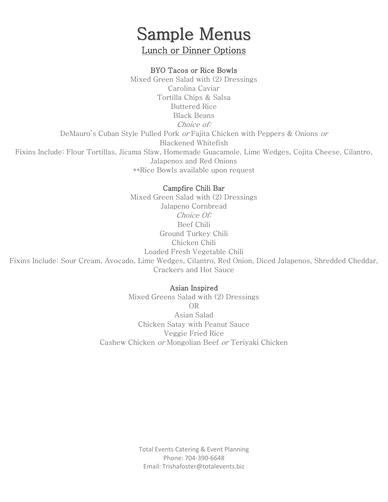# Sample Menus Lunch or Dinner Options

#### BYO Tacos or Rice Bowls

Mixed Green Salad with (2) Dressings Carolina Caviar Tortilla Chips & Salsa Buttered Rice Black Beans Choice of: DeMauro's Cuban Style Pulled Pork or Fajita Chicken with Peppers & Onions or Blackened Whitefish Fixins Include: Flour Tortillas, Jicama Slaw, Homemade Guacamole, Lime Wedges, Cojita Cheese, Cilantro, Jalapenos and Red Onions \*\*Rice Bowls available upon request

#### Campfire Chili Bar

Mixed Green Salad with (2) Dressings Jalapeno Cornbread Choice Of: Beef Chili Ground Turkey Chili Chicken Chili Loaded Fresh Vegetable Chili Fixins Include: Sour Cream, Avocado, Lime Wedges, Cilantro, Red Onion, Diced Jalapenos, Shredded Cheddar, Crackers and Hot Sauce

#### Asian Inspired

Mixed Greens Salad with (2) Dressings OR Asian Salad Chicken Satay with Peanut Sauce Veggie Fried Rice Cashew Chicken or Mongolian Beef or Teriyaki Chicken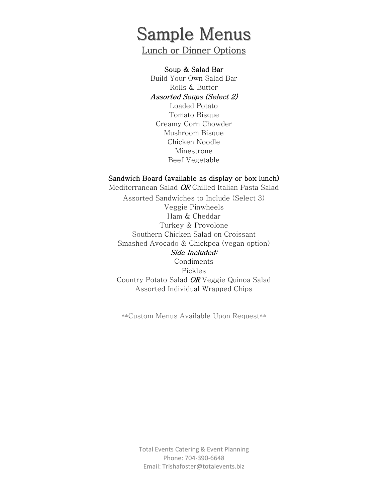# Sample Menus

Lunch or Dinner Options

#### Soup & Salad Bar

Build Your Own Salad Bar Rolls & Butter Assorted Soups (Select 2)

Loaded Potato Tomato Bisque Creamy Corn Chowder Mushroom Bisque Chicken Noodle Minestrone Beef Vegetable

#### Sandwich Board (available as display or box lunch)

Mediterranean Salad OR Chilled Italian Pasta Salad

Assorted Sandwiches to Include (Select 3) Veggie Pinwheels Ham & Cheddar Turkey & Provolone Southern Chicken Salad on Croissant Smashed Avocado & Chickpea (vegan option) Side Included: Condiments Pickles Country Potato Salad OR Veggie Quinoa Salad Assorted Individual Wrapped Chips

\*\*Custom Menus Available Upon Request\*\*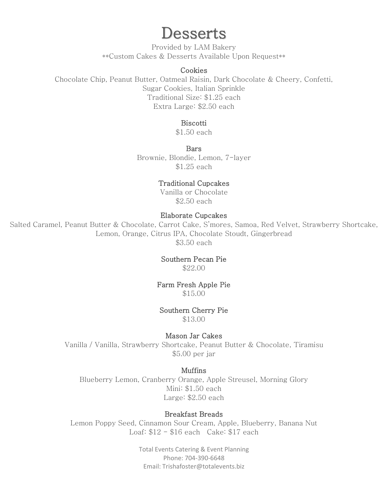# Desserts

Provided by LAM Bakery \*\*Custom Cakes & Desserts Available Upon Request\*\*

#### **Cookies**

Chocolate Chip, Peanut Butter, Oatmeal Raisin, Dark Chocolate & Cheery, Confetti, Sugar Cookies, Italian Sprinkle Traditional Size: \$1.25 each Extra Large: \$2.50 each

#### Biscotti

\$1.50 each

**Bars** Brownie, Blondie, Lemon, 7-layer \$1.25 each

#### Traditional Cupcakes

Vanilla or Chocolate \$2.50 each

#### Elaborate Cupcakes

Salted Caramel, Peanut Butter & Chocolate, Carrot Cake, S'mores, Samoa, Red Velvet, Strawberry Shortcake, Lemon, Orange, Citrus IPA, Chocolate Stoudt, Gingerbread \$3.50 each

#### Southern Pecan Pie

\$22.00

#### Farm Fresh Apple Pie \$15.00

#### Southern Cherry Pie

\$13.00

#### Mason Jar Cakes

Vanilla / Vanilla, Strawberry Shortcake, Peanut Butter & Chocolate, Tiramisu \$5.00 per jar

#### Muffins

Blueberry Lemon, Cranberry Orange, Apple Streusel, Morning Glory Mini: \$1.50 each Large: \$2.50 each

#### Breakfast Breads

Lemon Poppy Seed, Cinnamon Sour Cream, Apple, Blueberry, Banana Nut Loaf: \$12 - \$16 each Cake: \$17 each